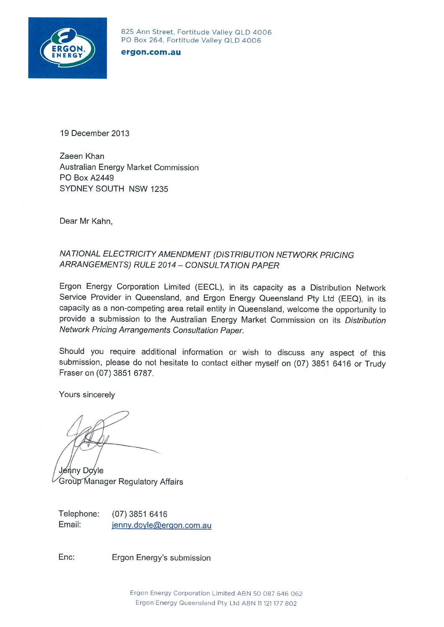

825 Ann Street, Fortitude Valley QLD 4006 PO Box 264, Fortitude Valley QLD 4006

ergon.com.au

19 December 2013

Zaeen Khan Australian Energy Market Commission PO Box A2449 SYDNEY SOUTH NSW 1235

Dear Mr Kahn,

#### NATIONAL ELECTRICITY AMENDMENT (DISTRIBUTION NETWORK PRICING ARRANGEMENTS) RULE 2014 - CONSULTATION PAPER

Ergon Energy Corporation Limited (EECL), in its capacity as a Distribution Network Service Provider in Queensland, and Ergon Energy Queensland Pty Ltd (EEQ), in its capacity as a non-competing area retail entity in Queensland, welcome the opportunity to provide a submission to the Australian Energy Market Commission on its Distribution Network Pricing Arrangements Consultation Paper.

Should you require additional information or wish to discuss any aspect of this submission, please do not hesitate to contact either myself on (07) 3851 6416 or Trudy Fraser on (07) 3851 6787.

Yours sincerely

Jenny Doyle **Group Manager Regulatory Affairs** 

Telephone:  $(07)$  3851 6416 Email: jenny.doyle@ergon.com.au

Enc: Ergon Energy's submission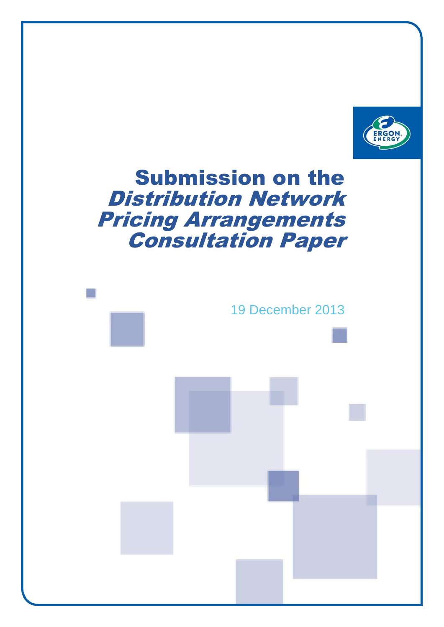

# Submission on the Distribution Network Pricing Arrangements Consultation Paper

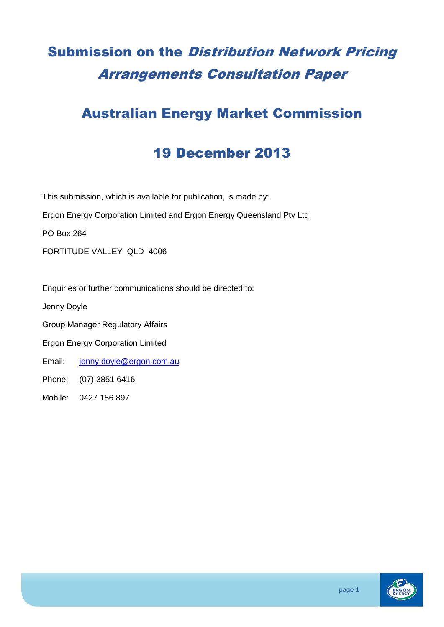## Submission on the Distribution Network Pricing Arrangements Consultation Paper

### Australian Energy Market Commission

#### 19 December 2013

This submission, which is available for publication, is made by:

Ergon Energy Corporation Limited and Ergon Energy Queensland Pty Ltd

PO Box 264

FORTITUDE VALLEY QLD 4006

Enquiries or further communications should be directed to:

Jenny Doyle

Group Manager Regulatory Affairs

Ergon Energy Corporation Limited

Email: [jenny.doyle@ergon.com.au](mailto:jenny.doyle@ergon.com.au)

Phone: (07) 3851 6416

Mobile: 0427 156 897

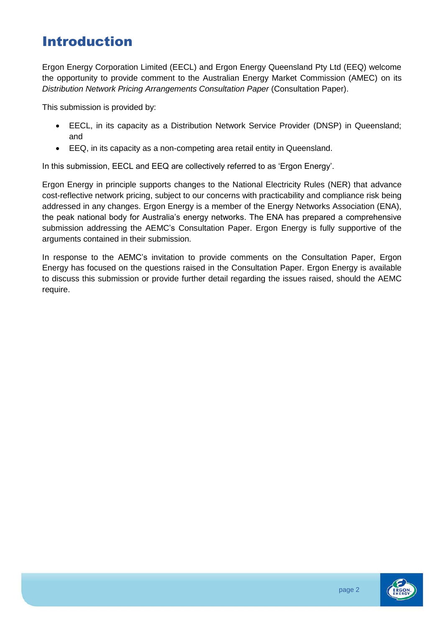### Introduction

Ergon Energy Corporation Limited (EECL) and Ergon Energy Queensland Pty Ltd (EEQ) welcome the opportunity to provide comment to the Australian Energy Market Commission (AMEC) on its *Distribution Network Pricing Arrangements Consultation Paper* (Consultation Paper).

This submission is provided by:

- EECL, in its capacity as a Distribution Network Service Provider (DNSP) in Queensland; and
- EEQ, in its capacity as a non-competing area retail entity in Queensland.

In this submission, EECL and EEQ are collectively referred to as 'Ergon Energy'.

Ergon Energy in principle supports changes to the National Electricity Rules (NER) that advance cost-reflective network pricing, subject to our concerns with practicability and compliance risk being addressed in any changes. Ergon Energy is a member of the Energy Networks Association (ENA), the peak national body for Australia's energy networks. The ENA has prepared a comprehensive submission addressing the AEMC's Consultation Paper. Ergon Energy is fully supportive of the arguments contained in their submission.

In response to the AEMC's invitation to provide comments on the Consultation Paper, Ergon Energy has focused on the questions raised in the Consultation Paper. Ergon Energy is available to discuss this submission or provide further detail regarding the issues raised, should the AEMC require.

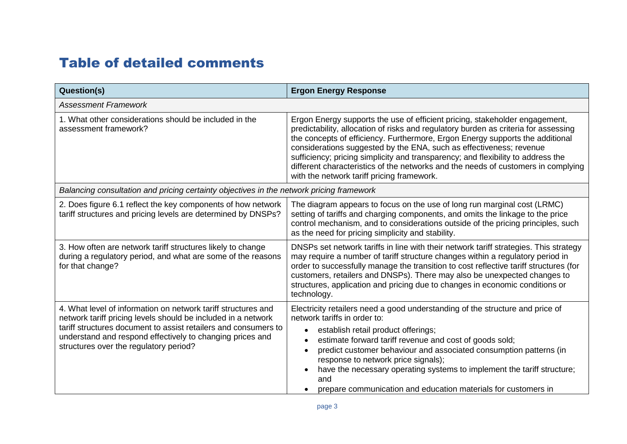### Table of detailed comments

| Question(s)                                                                                                                                                                                                                                                                                              | <b>Ergon Energy Response</b>                                                                                                                                                                                                                                                                                                                                                                                                                                                                                                                      |
|----------------------------------------------------------------------------------------------------------------------------------------------------------------------------------------------------------------------------------------------------------------------------------------------------------|---------------------------------------------------------------------------------------------------------------------------------------------------------------------------------------------------------------------------------------------------------------------------------------------------------------------------------------------------------------------------------------------------------------------------------------------------------------------------------------------------------------------------------------------------|
| <b>Assessment Framework</b>                                                                                                                                                                                                                                                                              |                                                                                                                                                                                                                                                                                                                                                                                                                                                                                                                                                   |
| 1. What other considerations should be included in the<br>assessment framework?                                                                                                                                                                                                                          | Ergon Energy supports the use of efficient pricing, stakeholder engagement,<br>predictability, allocation of risks and regulatory burden as criteria for assessing<br>the concepts of efficiency. Furthermore, Ergon Energy supports the additional<br>considerations suggested by the ENA, such as effectiveness; revenue<br>sufficiency; pricing simplicity and transparency; and flexibility to address the<br>different characteristics of the networks and the needs of customers in complying<br>with the network tariff pricing framework. |
| Balancing consultation and pricing certainty objectives in the network pricing framework                                                                                                                                                                                                                 |                                                                                                                                                                                                                                                                                                                                                                                                                                                                                                                                                   |
| 2. Does figure 6.1 reflect the key components of how network<br>tariff structures and pricing levels are determined by DNSPs?                                                                                                                                                                            | The diagram appears to focus on the use of long run marginal cost (LRMC)<br>setting of tariffs and charging components, and omits the linkage to the price<br>control mechanism, and to considerations outside of the pricing principles, such<br>as the need for pricing simplicity and stability.                                                                                                                                                                                                                                               |
| 3. How often are network tariff structures likely to change<br>during a regulatory period, and what are some of the reasons<br>for that change?                                                                                                                                                          | DNSPs set network tariffs in line with their network tariff strategies. This strategy<br>may require a number of tariff structure changes within a regulatory period in<br>order to successfully manage the transition to cost reflective tariff structures (for<br>customers, retailers and DNSPs). There may also be unexpected changes to<br>structures, application and pricing due to changes in economic conditions or<br>technology.                                                                                                       |
| 4. What level of information on network tariff structures and<br>network tariff pricing levels should be included in a network<br>tariff structures document to assist retailers and consumers to<br>understand and respond effectively to changing prices and<br>structures over the regulatory period? | Electricity retailers need a good understanding of the structure and price of<br>network tariffs in order to:<br>establish retail product offerings;<br>estimate forward tariff revenue and cost of goods sold;<br>predict customer behaviour and associated consumption patterns (in<br>response to network price signals);<br>have the necessary operating systems to implement the tariff structure;<br>and<br>prepare communication and education materials for customers in                                                                  |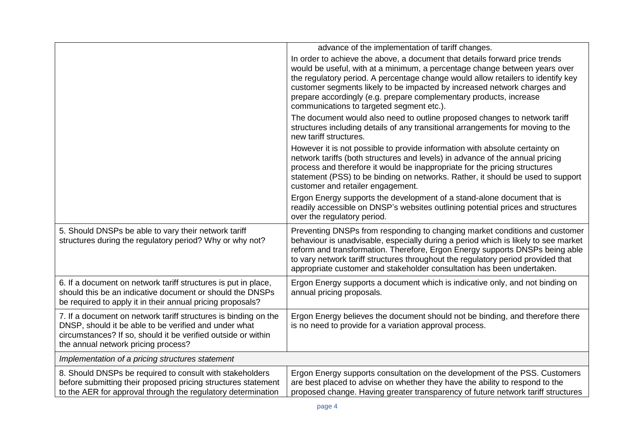|                                                                                                                                                                                                                                  | advance of the implementation of tariff changes.                                                                                                                                                                                                                                                                                                                                                                                             |
|----------------------------------------------------------------------------------------------------------------------------------------------------------------------------------------------------------------------------------|----------------------------------------------------------------------------------------------------------------------------------------------------------------------------------------------------------------------------------------------------------------------------------------------------------------------------------------------------------------------------------------------------------------------------------------------|
|                                                                                                                                                                                                                                  |                                                                                                                                                                                                                                                                                                                                                                                                                                              |
|                                                                                                                                                                                                                                  | In order to achieve the above, a document that details forward price trends<br>would be useful, with at a minimum, a percentage change between years over<br>the regulatory period. A percentage change would allow retailers to identify key<br>customer segments likely to be impacted by increased network charges and<br>prepare accordingly (e.g. prepare complementary products, increase<br>communications to targeted segment etc.). |
|                                                                                                                                                                                                                                  | The document would also need to outline proposed changes to network tariff<br>structures including details of any transitional arrangements for moving to the<br>new tariff structures.                                                                                                                                                                                                                                                      |
|                                                                                                                                                                                                                                  | However it is not possible to provide information with absolute certainty on<br>network tariffs (both structures and levels) in advance of the annual pricing<br>process and therefore it would be inappropriate for the pricing structures<br>statement (PSS) to be binding on networks. Rather, it should be used to support<br>customer and retailer engagement.                                                                          |
|                                                                                                                                                                                                                                  | Ergon Energy supports the development of a stand-alone document that is<br>readily accessible on DNSP's websites outlining potential prices and structures<br>over the regulatory period.                                                                                                                                                                                                                                                    |
| 5. Should DNSPs be able to vary their network tariff<br>structures during the regulatory period? Why or why not?                                                                                                                 | Preventing DNSPs from responding to changing market conditions and customer<br>behaviour is unadvisable, especially during a period which is likely to see market<br>reform and transformation. Therefore, Ergon Energy supports DNSPs being able<br>to vary network tariff structures throughout the regulatory period provided that<br>appropriate customer and stakeholder consultation has been undertaken.                              |
| 6. If a document on network tariff structures is put in place,<br>should this be an indicative document or should the DNSPs<br>be required to apply it in their annual pricing proposals?                                        | Ergon Energy supports a document which is indicative only, and not binding on<br>annual pricing proposals.                                                                                                                                                                                                                                                                                                                                   |
| 7. If a document on network tariff structures is binding on the<br>DNSP, should it be able to be verified and under what<br>circumstances? If so, should it be verified outside or within<br>the annual network pricing process? | Ergon Energy believes the document should not be binding, and therefore there<br>is no need to provide for a variation approval process.                                                                                                                                                                                                                                                                                                     |
| Implementation of a pricing structures statement                                                                                                                                                                                 |                                                                                                                                                                                                                                                                                                                                                                                                                                              |
| 8. Should DNSPs be required to consult with stakeholders<br>before submitting their proposed pricing structures statement<br>to the AER for approval through the regulatory determination                                        | Ergon Energy supports consultation on the development of the PSS. Customers<br>are best placed to advise on whether they have the ability to respond to the<br>proposed change. Having greater transparency of future network tariff structures                                                                                                                                                                                              |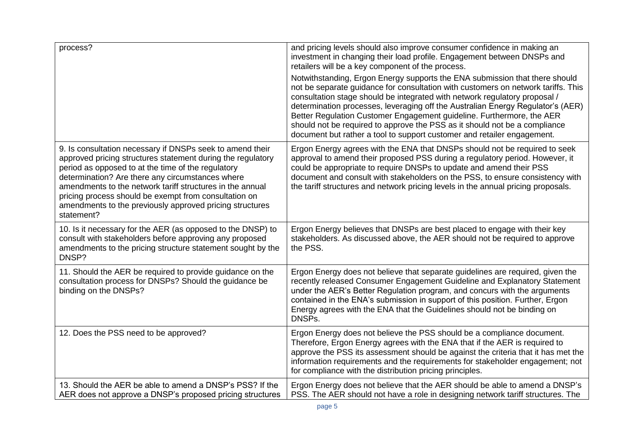| process?                                                                                                                                                                                                                                                                                                                                                                                                                           | and pricing levels should also improve consumer confidence in making an<br>investment in changing their load profile. Engagement between DNSPs and<br>retailers will be a key component of the process.                                                                                                                                                                                                                                                                                                                                                             |
|------------------------------------------------------------------------------------------------------------------------------------------------------------------------------------------------------------------------------------------------------------------------------------------------------------------------------------------------------------------------------------------------------------------------------------|---------------------------------------------------------------------------------------------------------------------------------------------------------------------------------------------------------------------------------------------------------------------------------------------------------------------------------------------------------------------------------------------------------------------------------------------------------------------------------------------------------------------------------------------------------------------|
|                                                                                                                                                                                                                                                                                                                                                                                                                                    | Notwithstanding, Ergon Energy supports the ENA submission that there should<br>not be separate guidance for consultation with customers on network tariffs. This<br>consultation stage should be integrated with network regulatory proposal /<br>determination processes, leveraging off the Australian Energy Regulator's (AER)<br>Better Regulation Customer Engagement guideline. Furthermore, the AER<br>should not be required to approve the PSS as it should not be a compliance<br>document but rather a tool to support customer and retailer engagement. |
| 9. Is consultation necessary if DNSPs seek to amend their<br>approved pricing structures statement during the regulatory<br>period as opposed to at the time of the regulatory<br>determination? Are there any circumstances where<br>amendments to the network tariff structures in the annual<br>pricing process should be exempt from consultation on<br>amendments to the previously approved pricing structures<br>statement? | Ergon Energy agrees with the ENA that DNSPs should not be required to seek<br>approval to amend their proposed PSS during a regulatory period. However, it<br>could be appropriate to require DNSPs to update and amend their PSS<br>document and consult with stakeholders on the PSS, to ensure consistency with<br>the tariff structures and network pricing levels in the annual pricing proposals.                                                                                                                                                             |
| 10. Is it necessary for the AER (as opposed to the DNSP) to<br>consult with stakeholders before approving any proposed<br>amendments to the pricing structure statement sought by the<br>DNSP?                                                                                                                                                                                                                                     | Ergon Energy believes that DNSPs are best placed to engage with their key<br>stakeholders. As discussed above, the AER should not be required to approve<br>the PSS.                                                                                                                                                                                                                                                                                                                                                                                                |
| 11. Should the AER be required to provide guidance on the<br>consultation process for DNSPs? Should the guidance be<br>binding on the DNSPs?                                                                                                                                                                                                                                                                                       | Ergon Energy does not believe that separate guidelines are required, given the<br>recently released Consumer Engagement Guideline and Explanatory Statement<br>under the AER's Better Regulation program, and concurs with the arguments<br>contained in the ENA's submission in support of this position. Further, Ergon<br>Energy agrees with the ENA that the Guidelines should not be binding on<br>DNSPs.                                                                                                                                                      |
| 12. Does the PSS need to be approved?                                                                                                                                                                                                                                                                                                                                                                                              | Ergon Energy does not believe the PSS should be a compliance document.<br>Therefore, Ergon Energy agrees with the ENA that if the AER is required to<br>approve the PSS its assessment should be against the criteria that it has met the<br>information requirements and the requirements for stakeholder engagement; not<br>for compliance with the distribution pricing principles.                                                                                                                                                                              |
| 13. Should the AER be able to amend a DNSP's PSS? If the<br>AER does not approve a DNSP's proposed pricing structures                                                                                                                                                                                                                                                                                                              | Ergon Energy does not believe that the AER should be able to amend a DNSP's<br>PSS. The AER should not have a role in designing network tariff structures. The                                                                                                                                                                                                                                                                                                                                                                                                      |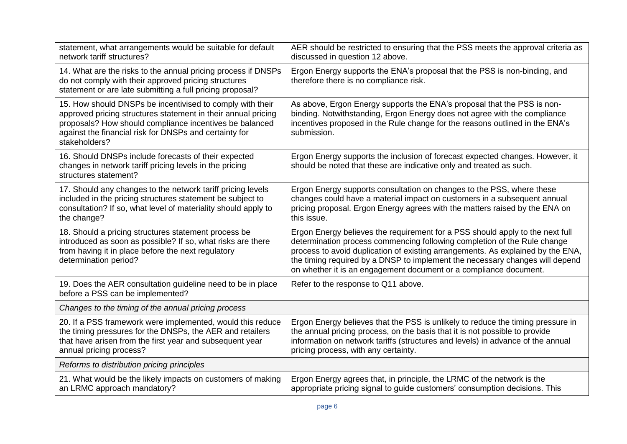| statement, what arrangements would be suitable for default<br>network tariff structures?                                                                                                                                                                         | AER should be restricted to ensuring that the PSS meets the approval criteria as<br>discussed in question 12 above.                                                                                                                                                                                                                                                                               |
|------------------------------------------------------------------------------------------------------------------------------------------------------------------------------------------------------------------------------------------------------------------|---------------------------------------------------------------------------------------------------------------------------------------------------------------------------------------------------------------------------------------------------------------------------------------------------------------------------------------------------------------------------------------------------|
| 14. What are the risks to the annual pricing process if DNSPs<br>do not comply with their approved pricing structures<br>statement or are late submitting a full pricing proposal?                                                                               | Ergon Energy supports the ENA's proposal that the PSS is non-binding, and<br>therefore there is no compliance risk.                                                                                                                                                                                                                                                                               |
| 15. How should DNSPs be incentivised to comply with their<br>approved pricing structures statement in their annual pricing<br>proposals? How should compliance incentives be balanced<br>against the financial risk for DNSPs and certainty for<br>stakeholders? | As above, Ergon Energy supports the ENA's proposal that the PSS is non-<br>binding. Notwithstanding, Ergon Energy does not agree with the compliance<br>incentives proposed in the Rule change for the reasons outlined in the ENA's<br>submission.                                                                                                                                               |
| 16. Should DNSPs include forecasts of their expected<br>changes in network tariff pricing levels in the pricing<br>structures statement?                                                                                                                         | Ergon Energy supports the inclusion of forecast expected changes. However, it<br>should be noted that these are indicative only and treated as such.                                                                                                                                                                                                                                              |
| 17. Should any changes to the network tariff pricing levels<br>included in the pricing structures statement be subject to<br>consultation? If so, what level of materiality should apply to<br>the change?                                                       | Ergon Energy supports consultation on changes to the PSS, where these<br>changes could have a material impact on customers in a subsequent annual<br>pricing proposal. Ergon Energy agrees with the matters raised by the ENA on<br>this issue.                                                                                                                                                   |
| 18. Should a pricing structures statement process be<br>introduced as soon as possible? If so, what risks are there<br>from having it in place before the next regulatory<br>determination period?                                                               | Ergon Energy believes the requirement for a PSS should apply to the next full<br>determination process commencing following completion of the Rule change<br>process to avoid duplication of existing arrangements. As explained by the ENA,<br>the timing required by a DNSP to implement the necessary changes will depend<br>on whether it is an engagement document or a compliance document. |
| 19. Does the AER consultation guideline need to be in place<br>before a PSS can be implemented?                                                                                                                                                                  | Refer to the response to Q11 above.                                                                                                                                                                                                                                                                                                                                                               |
| Changes to the timing of the annual pricing process                                                                                                                                                                                                              |                                                                                                                                                                                                                                                                                                                                                                                                   |
| 20. If a PSS framework were implemented, would this reduce<br>the timing pressures for the DNSPs, the AER and retailers<br>that have arisen from the first year and subsequent year<br>annual pricing process?                                                   | Ergon Energy believes that the PSS is unlikely to reduce the timing pressure in<br>the annual pricing process, on the basis that it is not possible to provide<br>information on network tariffs (structures and levels) in advance of the annual<br>pricing process, with any certainty.                                                                                                         |
| Reforms to distribution pricing principles                                                                                                                                                                                                                       |                                                                                                                                                                                                                                                                                                                                                                                                   |
| 21. What would be the likely impacts on customers of making<br>an LRMC approach mandatory?                                                                                                                                                                       | Ergon Energy agrees that, in principle, the LRMC of the network is the<br>appropriate pricing signal to guide customers' consumption decisions. This                                                                                                                                                                                                                                              |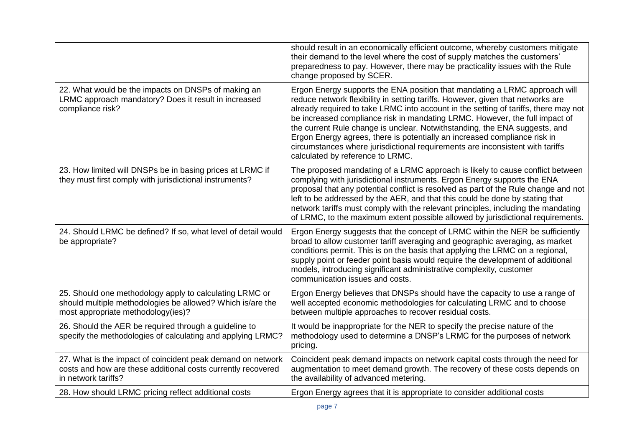|                                                                                                                                                             | should result in an economically efficient outcome, whereby customers mitigate<br>their demand to the level where the cost of supply matches the customers'<br>preparedness to pay. However, there may be practicality issues with the Rule<br>change proposed by SCER.                                                                                                                                                                                                                                                                                                                                             |
|-------------------------------------------------------------------------------------------------------------------------------------------------------------|---------------------------------------------------------------------------------------------------------------------------------------------------------------------------------------------------------------------------------------------------------------------------------------------------------------------------------------------------------------------------------------------------------------------------------------------------------------------------------------------------------------------------------------------------------------------------------------------------------------------|
| 22. What would be the impacts on DNSPs of making an<br>LRMC approach mandatory? Does it result in increased<br>compliance risk?                             | Ergon Energy supports the ENA position that mandating a LRMC approach will<br>reduce network flexibility in setting tariffs. However, given that networks are<br>already required to take LRMC into account in the setting of tariffs, there may not<br>be increased compliance risk in mandating LRMC. However, the full impact of<br>the current Rule change is unclear. Notwithstanding, the ENA suggests, and<br>Ergon Energy agrees, there is potentially an increased compliance risk in<br>circumstances where jurisdictional requirements are inconsistent with tariffs<br>calculated by reference to LRMC. |
| 23. How limited will DNSPs be in basing prices at LRMC if<br>they must first comply with jurisdictional instruments?                                        | The proposed mandating of a LRMC approach is likely to cause conflict between<br>complying with jurisdictional instruments. Ergon Energy supports the ENA<br>proposal that any potential conflict is resolved as part of the Rule change and not<br>left to be addressed by the AER, and that this could be done by stating that<br>network tariffs must comply with the relevant principles, including the mandating<br>of LRMC, to the maximum extent possible allowed by jurisdictional requirements.                                                                                                            |
| 24. Should LRMC be defined? If so, what level of detail would<br>be appropriate?                                                                            | Ergon Energy suggests that the concept of LRMC within the NER be sufficiently<br>broad to allow customer tariff averaging and geographic averaging, as market<br>conditions permit. This is on the basis that applying the LRMC on a regional,<br>supply point or feeder point basis would require the development of additional<br>models, introducing significant administrative complexity, customer<br>communication issues and costs.                                                                                                                                                                          |
| 25. Should one methodology apply to calculating LRMC or<br>should multiple methodologies be allowed? Which is/are the<br>most appropriate methodology(ies)? | Ergon Energy believes that DNSPs should have the capacity to use a range of<br>well accepted economic methodologies for calculating LRMC and to choose<br>between multiple approaches to recover residual costs.                                                                                                                                                                                                                                                                                                                                                                                                    |
| 26. Should the AER be required through a guideline to<br>specify the methodologies of calculating and applying LRMC?                                        | It would be inappropriate for the NER to specify the precise nature of the<br>methodology used to determine a DNSP's LRMC for the purposes of network<br>pricing.                                                                                                                                                                                                                                                                                                                                                                                                                                                   |
| 27. What is the impact of coincident peak demand on network<br>costs and how are these additional costs currently recovered<br>in network tariffs?          | Coincident peak demand impacts on network capital costs through the need for<br>augmentation to meet demand growth. The recovery of these costs depends on<br>the availability of advanced metering.                                                                                                                                                                                                                                                                                                                                                                                                                |
| 28. How should LRMC pricing reflect additional costs                                                                                                        | Ergon Energy agrees that it is appropriate to consider additional costs                                                                                                                                                                                                                                                                                                                                                                                                                                                                                                                                             |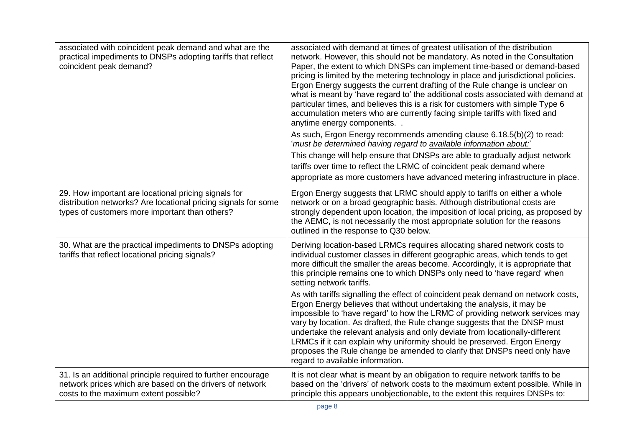| associated with coincident peak demand and what are the<br>practical impediments to DNSPs adopting tariffs that reflect<br>coincident peak demand?                       | associated with demand at times of greatest utilisation of the distribution<br>network. However, this should not be mandatory. As noted in the Consultation<br>Paper, the extent to which DNSPs can implement time-based or demand-based<br>pricing is limited by the metering technology in place and jurisdictional policies.<br>Ergon Energy suggests the current drafting of the Rule change is unclear on<br>what is meant by 'have regard to' the additional costs associated with demand at<br>particular times, and believes this is a risk for customers with simple Type 6<br>accumulation meters who are currently facing simple tariffs with fixed and<br>anytime energy components. .<br>As such, Ergon Energy recommends amending clause 6.18.5(b)(2) to read:<br>'must be determined having regard to available information about.'<br>This change will help ensure that DNSPs are able to gradually adjust network |
|--------------------------------------------------------------------------------------------------------------------------------------------------------------------------|------------------------------------------------------------------------------------------------------------------------------------------------------------------------------------------------------------------------------------------------------------------------------------------------------------------------------------------------------------------------------------------------------------------------------------------------------------------------------------------------------------------------------------------------------------------------------------------------------------------------------------------------------------------------------------------------------------------------------------------------------------------------------------------------------------------------------------------------------------------------------------------------------------------------------------|
|                                                                                                                                                                          | tariffs over time to reflect the LRMC of coincident peak demand where<br>appropriate as more customers have advanced metering infrastructure in place.                                                                                                                                                                                                                                                                                                                                                                                                                                                                                                                                                                                                                                                                                                                                                                             |
| 29. How important are locational pricing signals for<br>distribution networks? Are locational pricing signals for some<br>types of customers more important than others? | Ergon Energy suggests that LRMC should apply to tariffs on either a whole<br>network or on a broad geographic basis. Although distributional costs are<br>strongly dependent upon location, the imposition of local pricing, as proposed by<br>the AEMC, is not necessarily the most appropriate solution for the reasons<br>outlined in the response to Q30 below.                                                                                                                                                                                                                                                                                                                                                                                                                                                                                                                                                                |
| 30. What are the practical impediments to DNSPs adopting<br>tariffs that reflect locational pricing signals?                                                             | Deriving location-based LRMCs requires allocating shared network costs to<br>individual customer classes in different geographic areas, which tends to get<br>more difficult the smaller the areas become. Accordingly, it is appropriate that<br>this principle remains one to which DNSPs only need to 'have regard' when<br>setting network tariffs.                                                                                                                                                                                                                                                                                                                                                                                                                                                                                                                                                                            |
|                                                                                                                                                                          | As with tariffs signalling the effect of coincident peak demand on network costs,<br>Ergon Energy believes that without undertaking the analysis, it may be<br>impossible to 'have regard' to how the LRMC of providing network services may<br>vary by location. As drafted, the Rule change suggests that the DNSP must<br>undertake the relevant analysis and only deviate from locationally-different<br>LRMCs if it can explain why uniformity should be preserved. Ergon Energy<br>proposes the Rule change be amended to clarify that DNSPs need only have<br>regard to available information.                                                                                                                                                                                                                                                                                                                              |
| 31. Is an additional principle required to further encourage<br>network prices which are based on the drivers of network<br>costs to the maximum extent possible?        | It is not clear what is meant by an obligation to require network tariffs to be<br>based on the 'drivers' of network costs to the maximum extent possible. While in<br>principle this appears unobjectionable, to the extent this requires DNSPs to:                                                                                                                                                                                                                                                                                                                                                                                                                                                                                                                                                                                                                                                                               |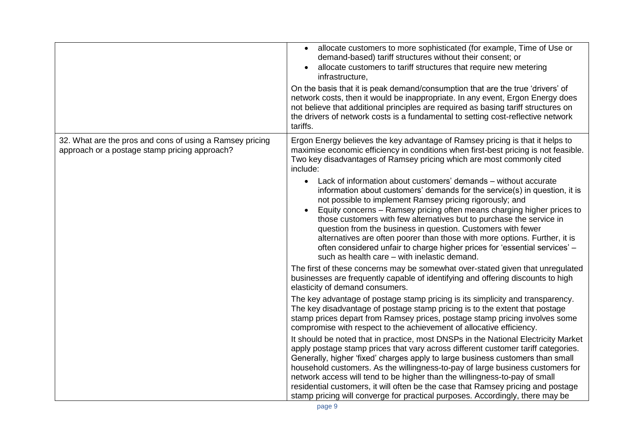|                                                                                                           | allocate customers to more sophisticated (for example, Time of Use or<br>$\bullet$<br>demand-based) tariff structures without their consent; or<br>allocate customers to tariff structures that require new metering<br>infrastructure,<br>On the basis that it is peak demand/consumption that are the true 'drivers' of<br>network costs, then it would be inappropriate. In any event, Ergon Energy does<br>not believe that additional principles are required as basing tariff structures on<br>the drivers of network costs is a fundamental to setting cost-reflective network<br>tariffs.                                                    |
|-----------------------------------------------------------------------------------------------------------|------------------------------------------------------------------------------------------------------------------------------------------------------------------------------------------------------------------------------------------------------------------------------------------------------------------------------------------------------------------------------------------------------------------------------------------------------------------------------------------------------------------------------------------------------------------------------------------------------------------------------------------------------|
| 32. What are the pros and cons of using a Ramsey pricing<br>approach or a postage stamp pricing approach? | Ergon Energy believes the key advantage of Ramsey pricing is that it helps to<br>maximise economic efficiency in conditions when first-best pricing is not feasible.<br>Two key disadvantages of Ramsey pricing which are most commonly cited<br>include:                                                                                                                                                                                                                                                                                                                                                                                            |
|                                                                                                           | Lack of information about customers' demands - without accurate<br>$\bullet$<br>information about customers' demands for the service(s) in question, it is<br>not possible to implement Ramsey pricing rigorously; and<br>Equity concerns - Ramsey pricing often means charging higher prices to<br>those customers with few alternatives but to purchase the service in<br>question from the business in question. Customers with fewer<br>alternatives are often poorer than those with more options. Further, it is<br>often considered unfair to charge higher prices for 'essential services' -<br>such as health care - with inelastic demand. |
|                                                                                                           | The first of these concerns may be somewhat over-stated given that unregulated<br>businesses are frequently capable of identifying and offering discounts to high<br>elasticity of demand consumers.                                                                                                                                                                                                                                                                                                                                                                                                                                                 |
|                                                                                                           | The key advantage of postage stamp pricing is its simplicity and transparency.<br>The key disadvantage of postage stamp pricing is to the extent that postage<br>stamp prices depart from Ramsey prices, postage stamp pricing involves some<br>compromise with respect to the achievement of allocative efficiency.                                                                                                                                                                                                                                                                                                                                 |
|                                                                                                           | It should be noted that in practice, most DNSPs in the National Electricity Market<br>apply postage stamp prices that vary across different customer tariff categories.<br>Generally, higher 'fixed' charges apply to large business customers than small<br>household customers. As the willingness-to-pay of large business customers for<br>network access will tend to be higher than the willingness-to-pay of small<br>residential customers, it will often be the case that Ramsey pricing and postage<br>stamp pricing will converge for practical purposes. Accordingly, there may be                                                       |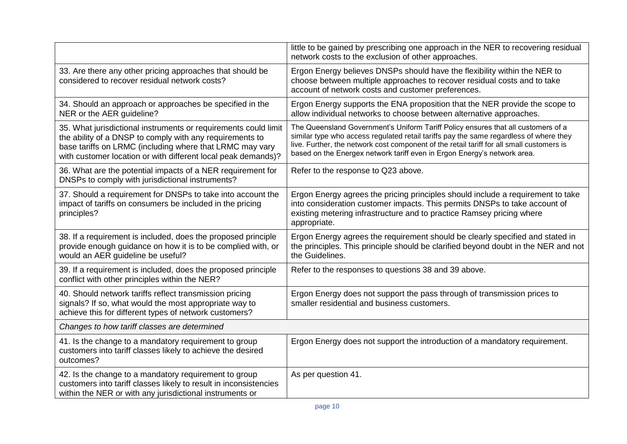|                                                                                                                                                                                                                                                          | little to be gained by prescribing one approach in the NER to recovering residual<br>network costs to the exclusion of other approaches.                                                                                                                                                                                                             |
|----------------------------------------------------------------------------------------------------------------------------------------------------------------------------------------------------------------------------------------------------------|------------------------------------------------------------------------------------------------------------------------------------------------------------------------------------------------------------------------------------------------------------------------------------------------------------------------------------------------------|
| 33. Are there any other pricing approaches that should be<br>considered to recover residual network costs?                                                                                                                                               | Ergon Energy believes DNSPs should have the flexibility within the NER to<br>choose between multiple approaches to recover residual costs and to take<br>account of network costs and customer preferences.                                                                                                                                          |
| 34. Should an approach or approaches be specified in the<br>NER or the AER guideline?                                                                                                                                                                    | Ergon Energy supports the ENA proposition that the NER provide the scope to<br>allow individual networks to choose between alternative approaches.                                                                                                                                                                                                   |
| 35. What jurisdictional instruments or requirements could limit<br>the ability of a DNSP to comply with any requirements to<br>base tariffs on LRMC (including where that LRMC may vary<br>with customer location or with different local peak demands)? | The Queensland Government's Uniform Tariff Policy ensures that all customers of a<br>similar type who access regulated retail tariffs pay the same regardless of where they<br>live. Further, the network cost component of the retail tariff for all small customers is<br>based on the Energex network tariff even in Ergon Energy's network area. |
| 36. What are the potential impacts of a NER requirement for<br>DNSPs to comply with jurisdictional instruments?                                                                                                                                          | Refer to the response to Q23 above.                                                                                                                                                                                                                                                                                                                  |
| 37. Should a requirement for DNSPs to take into account the<br>impact of tariffs on consumers be included in the pricing<br>principles?                                                                                                                  | Ergon Energy agrees the pricing principles should include a requirement to take<br>into consideration customer impacts. This permits DNSPs to take account of<br>existing metering infrastructure and to practice Ramsey pricing where<br>appropriate.                                                                                               |
| 38. If a requirement is included, does the proposed principle<br>provide enough guidance on how it is to be complied with, or<br>would an AER guideline be useful?                                                                                       | Ergon Energy agrees the requirement should be clearly specified and stated in<br>the principles. This principle should be clarified beyond doubt in the NER and not<br>the Guidelines.                                                                                                                                                               |
| 39. If a requirement is included, does the proposed principle<br>conflict with other principles within the NER?                                                                                                                                          | Refer to the responses to questions 38 and 39 above.                                                                                                                                                                                                                                                                                                 |
| 40. Should network tariffs reflect transmission pricing<br>signals? If so, what would the most appropriate way to<br>achieve this for different types of network customers?                                                                              | Ergon Energy does not support the pass through of transmission prices to<br>smaller residential and business customers.                                                                                                                                                                                                                              |
| Changes to how tariff classes are determined                                                                                                                                                                                                             |                                                                                                                                                                                                                                                                                                                                                      |
| 41. Is the change to a mandatory requirement to group<br>customers into tariff classes likely to achieve the desired<br>outcomes?                                                                                                                        | Ergon Energy does not support the introduction of a mandatory requirement.                                                                                                                                                                                                                                                                           |
| 42. Is the change to a mandatory requirement to group<br>customers into tariff classes likely to result in inconsistencies<br>within the NER or with any jurisdictional instruments or                                                                   | As per question 41.                                                                                                                                                                                                                                                                                                                                  |